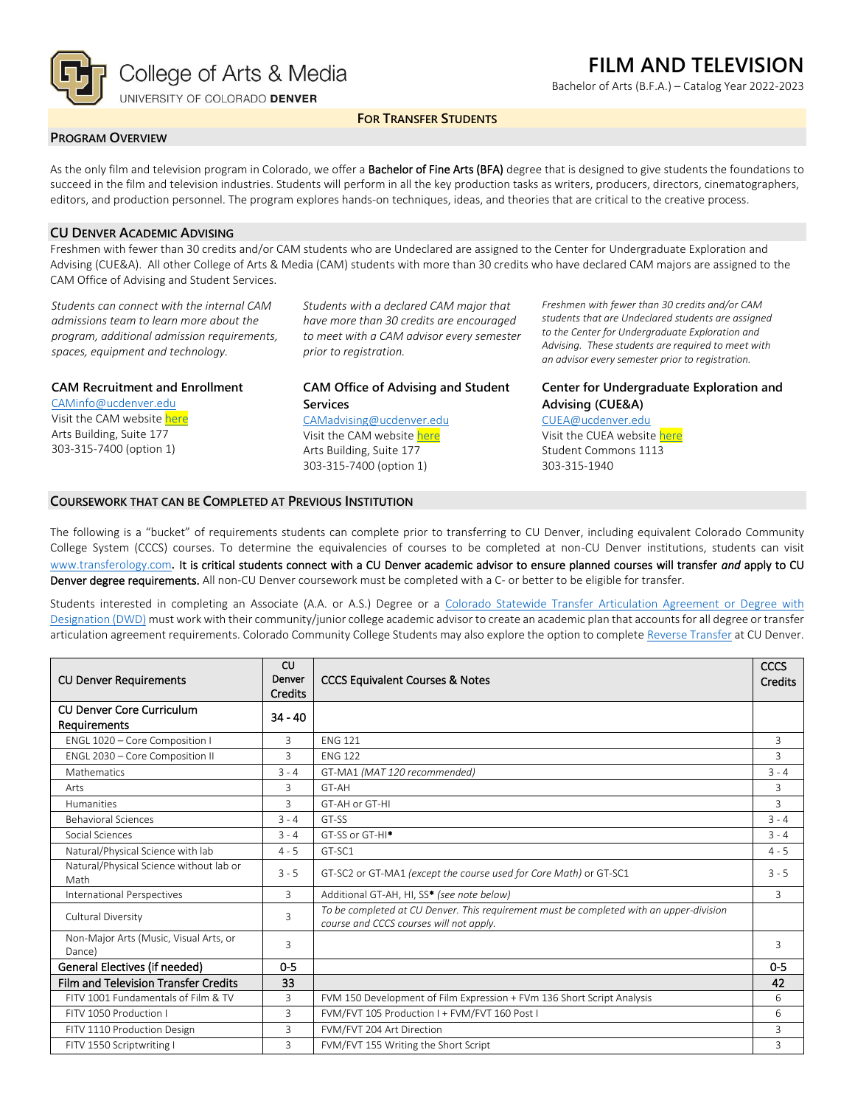

# **FILM AND TELEVISION**

Bachelor of Arts (B.F.A.) – Catalog Year 2022-2023

# **FOR TRANSFER STUDENTS**

# **PROGRAM OVERVIEW**

As the only film and television program in Colorado, we offer a Bachelor of Fine Arts (BFA) degree that is designed to give students the foundations to succeed in the film and television industries. Students will perform in all the key production tasks as writers, producers, directors, cinematographers, editors, and production personnel. The program explores hands-on techniques, ideas, and theories that are critical to the creative process.

# **CU DENVER ACADEMIC ADVISING**

Freshmen with fewer than 30 credits and/or CAM students who are Undeclared are assigned to the Center for Undergraduate Exploration and Advising (CUE&A). All other College of Arts & Media (CAM) students with more than 30 credits who have declared CAM majors are assigned to the CAM Office of Advising and Student Services.

*Students can connect with the internal CAM admissions team to learn more about the program, additional admission requirements, spaces, equipment and technology.*

## **CAM Recruitment and Enrollment**

[CAMinfo@ucdenver.edu](mailto:CAMinfo@ucdenver.edu) Visit the CAM websit[e here](https://artsandmedia.ucdenver.edu/prospective-students/prospective-students) Arts Building, Suite 177 303-315-7400 (option 1)

*Students with a declared CAM major that have more than 30 credits are encouraged to meet with a CAM advisor every semester prior to registration.*

## **CAM Office of Advising and Student Services**

[CAMadvising@ucdenver.edu](mailto:CAMadvising@ucdenver.edu)

Visit the CAM websit[e here](https://artsandmedia.ucdenver.edu/current-students/about-academic-advising) Arts Building, Suite 177 303-315-7400 (option 1)

*Freshmen with fewer than 30 credits and/or CAM students that are Undeclared students are assigned to the Center for Undergraduate Exploration and Advising. These students are required to meet with an advisor every semester prior to registration.*

# **Center for Undergraduate Exploration and Advising (CUE&A)**

#### [CUEA@ucdenver.edu](mailto:CUEA@ucdenver.edu)

Visit the CUEA websit[e here](https://www.ucdenver.edu/center-for-undergraduate-exploration-and-advising) Student Commons 1113 303-315-1940

## **COURSEWORK THAT CAN BE COMPLETED AT PREVIOUS INSTITUTION**

The following is a "bucket" of requirements students can complete prior to transferring to CU Denver, including equivalent Colorado Community College System (CCCS) courses. To determine the equivalencies of courses to be completed at non-CU Denver institutions, students can visit [www.transferology.com](http://www.transferology.com/)**.** It is critical students connect with a CU Denver academic advisor to ensure planned courses will transfer *and* apply to CU Denver degree requirements. All non-CU Denver coursework must be completed with a C- or better to be eligible for transfer.

Students interested in completing an Associate (A.A. or A.S.) Degree or a [Colorado Statewide Transfer Articulation Agreement or Degree with](https://highered.colorado.gov/Academics/Transfers/TransferDegrees.html)  [Designation \(DWD\)](https://highered.colorado.gov/Academics/Transfers/TransferDegrees.html) must work with their community/junior college academic advisor to create an academic plan that accounts for all degree or transfer articulation agreement requirements. Colorado Community College Students may also explore the option to complet[e Reverse Transfer](https://degreewithinreach.wordpress.com/) at CU Denver.

| <b>CU Denver Requirements</b>                    | CU<br>Denver<br>Credits | <b>CCCS Equivalent Courses &amp; Notes</b>                                                                                         |                |
|--------------------------------------------------|-------------------------|------------------------------------------------------------------------------------------------------------------------------------|----------------|
| <b>CU Denver Core Curriculum</b><br>Requirements | $34 - 40$               |                                                                                                                                    |                |
| ENGL 1020 - Core Composition I                   | 3                       | <b>FNG 121</b>                                                                                                                     | 3              |
| ENGL 2030 - Core Composition II                  | 3                       | <b>FNG 122</b>                                                                                                                     | $\mathbf{R}$   |
| <b>Mathematics</b>                               | $3 - 4$                 | GT-MA1 (MAT 120 recommended)                                                                                                       | $3 - 4$        |
| Arts                                             | 3                       | GT-AH                                                                                                                              | 3              |
| <b>Humanities</b>                                | 3                       | GT-AH or GT-HI                                                                                                                     | $\overline{3}$ |
| <b>Behavioral Sciences</b>                       | $3 - 4$                 | GT-SS                                                                                                                              | $3 - 4$        |
| Social Sciences                                  | $3 - 4$                 | GT-SS or GT-HI <sup>*</sup>                                                                                                        | $3 - 4$        |
| Natural/Physical Science with lab                | $4 - 5$                 | GT-SC1                                                                                                                             | $4 - 5$        |
| Natural/Physical Science without lab or<br>Math  | $3 - 5$                 | GT-SC2 or GT-MA1 (except the course used for Core Math) or GT-SC1                                                                  | $3 - 5$        |
| International Perspectives                       | 3                       | Additional GT-AH, HI, SS* (see note below)                                                                                         | $\mathbf{R}$   |
| Cultural Diversity                               | 3                       | To be completed at CU Denver. This requirement must be completed with an upper-division<br>course and CCCS courses will not apply. |                |
| Non-Major Arts (Music, Visual Arts, or<br>Dance) | 3                       |                                                                                                                                    | 3              |
| General Electives (if needed)                    | $0 - 5$                 |                                                                                                                                    | $0 - 5$        |
| <b>Film and Television Transfer Credits</b>      | 33                      |                                                                                                                                    | 42             |
| FITV 1001 Fundamentals of Film & TV              | 3                       | FVM 150 Development of Film Expression + FVm 136 Short Script Analysis                                                             | 6              |
| FITV 1050 Production I                           | 3                       | FVM/FVT 105 Production I + FVM/FVT 160 Post I                                                                                      | 6              |
| FITV 1110 Production Design                      | 3                       | FVM/FVT 204 Art Direction                                                                                                          | 3              |
| FITV 1550 Scriptwriting I                        | $\overline{3}$          | FVM/FVT 155 Writing the Short Script                                                                                               | $\overline{3}$ |